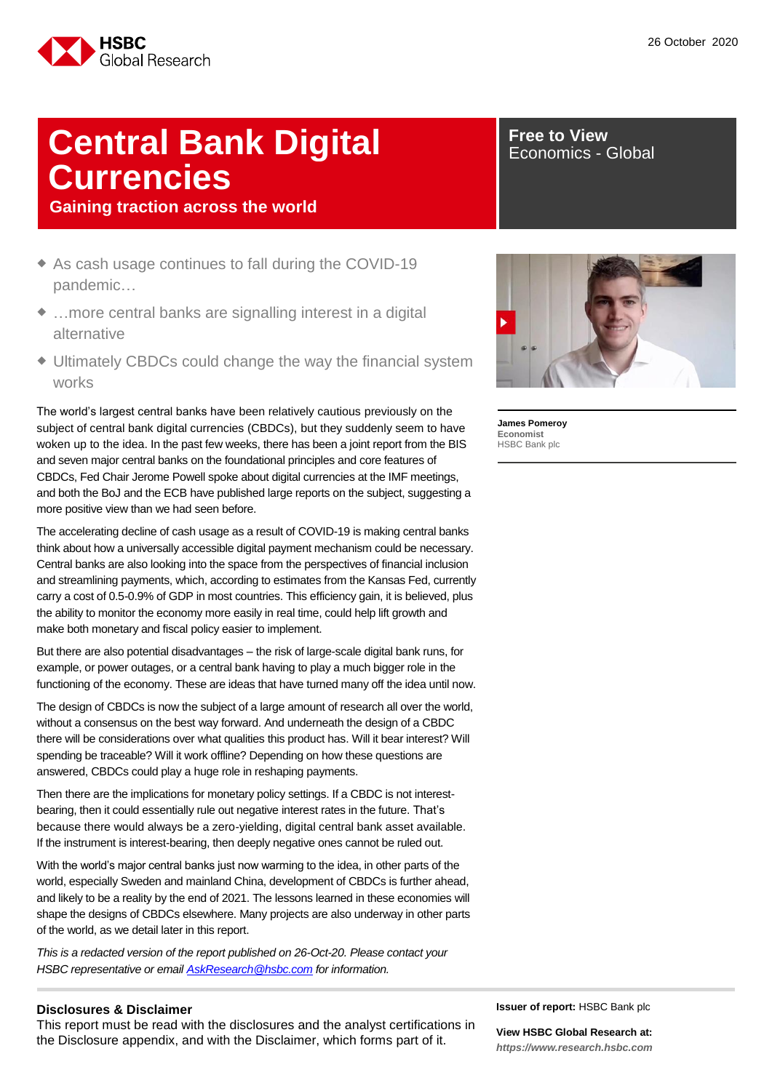

## **Central Bank Digital Currencies**

**Gaining traction across the world**

- ◆ As cash usage continues to fall during the COVID-19 pandemic…
- ◆ ...more central banks are signalling interest in a digital alternative
- Ultimately CBDCs could change the way the financial system works

The world's largest central banks have been relatively cautious previously on the subject of central bank digital currencies (CBDCs), but they suddenly seem to have woken up to the idea. In the past few weeks, there has been a joint report from the BIS and seven major central banks on the foundational principles and core features of CBDCs, Fed Chair Jerome Powell spoke about digital currencies at the IMF meetings, and both the BoJ and the ECB have published large reports on the subject, suggesting a more positive view than we had seen before.

The accelerating decline of cash usage as a result of COVID-19 is making central banks think about how a universally accessible digital payment mechanism could be necessary. Central banks are also looking into the space from the perspectives of financial inclusion and streamlining payments, which, according to estimates from the Kansas Fed, currently carry a cost of 0.5-0.9% of GDP in most countries. This efficiency gain, it is believed, plus the ability to monitor the economy more easily in real time, could help lift growth and make both monetary and fiscal policy easier to implement.

But there are also potential disadvantages – the risk of large-scale digital bank runs, for example, or power outages, or a central bank having to play a much bigger role in the functioning of the economy. These are ideas that have turned many off the idea until now.

The design of CBDCs is now the subject of a large amount of research all over the world, without a consensus on the best way forward. And underneath the design of a CBDC there will be considerations over what qualities this product has. Will it bear interest? Will spending be traceable? Will it work offline? Depending on how these questions are answered, CBDCs could play a huge role in reshaping payments.

Then there are the implications for monetary policy settings. If a CBDC is not interestbearing, then it could essentially rule out negative interest rates in the future. That's because there would always be a zero-yielding, digital central bank asset available. If the instrument is interest-bearing, then deeply negative ones cannot be ruled out.

With the world's major central banks just now warming to the idea, in other parts of the world, especially Sweden and mainland China, development of CBDCs is further ahead, and likely to be a reality by the end of 2021. The lessons learned in these economies will shape the designs of CBDCs elsewhere. Many projects are also underway in other parts of the world, as we detail later in this report.

*This is a redacted version of the report published on 26-Oct-20. Please contact your HSBC representative or email [AskResearch@hsbc.com](mailto:AskResearch@hsbc.com) for information.*

#### **Disclosures & Disclaimer**

This report must be read with the disclosures and the analyst certifications in the Disclosure appendix, and with the Disclaimer, which forms part of it.

**Free to View** Economics - Global



**James Pomeroy Economist** HSBC Bank plc

**Issuer of report:** HSBC Bank plc

**View HSBC Global Research at:** *[https://www.research.hsbc.com](https://www.research.hsbc.com/)*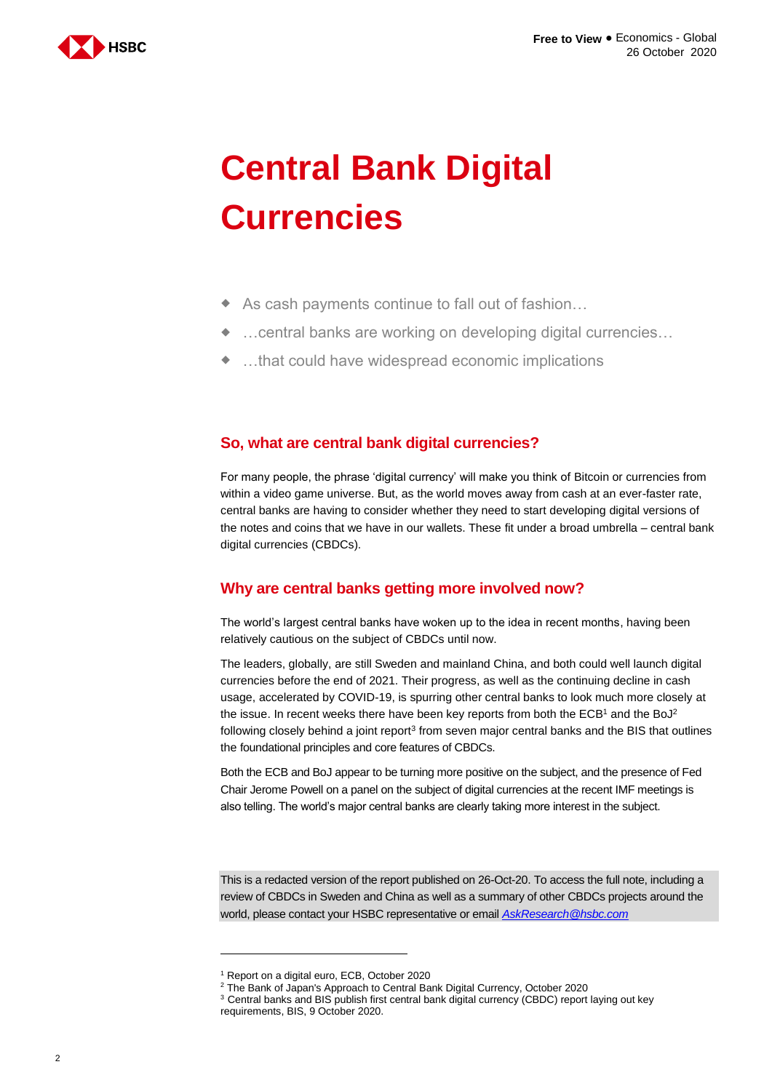

# **Central Bank Digital Currencies**

- ◆ As cash payments continue to fall out of fashion...
- …central banks are working on developing digital currencies…
- …that could have widespread economic implications

## **So, what are central bank digital currencies?**

For many people, the phrase 'digital currency' will make you think of Bitcoin or currencies from within a video game universe. But, as the world moves away from cash at an ever-faster rate, central banks are having to consider whether they need to start developing digital versions of the notes and coins that we have in our wallets. These fit under a broad umbrella – central bank digital currencies (CBDCs).

## **Why are central banks getting more involved now?**

The world's largest central banks have woken up to the idea in recent months, having been relatively cautious on the subject of CBDCs until now.

The leaders, globally, are still Sweden and mainland China, and both could well launch digital currencies before the end of 2021. Their progress, as well as the continuing decline in cash usage, accelerated by COVID-19, is spurring other central banks to look much more closely at the issue. In recent weeks there have been key reports from both the ECB<sup>1</sup> and the BoJ<sup>2</sup> following closely behind a joint report<sup>3</sup> from seven major central banks and the BIS that outlines the foundational principles and core features of CBDCs.

Both the ECB and BoJ appear to be turning more positive on the subject, and the presence of Fed Chair Jerome Powell on a panel on the subject of digital currencies at the recent IMF meetings is also telling. The world's major central banks are clearly taking more interest in the subject.

This is a redacted version of the report published on 26-Oct-20. To access the full note, including a review of CBDCs in Sweden and China as well as a summary of other CBDCs projects around the world, please contact your HSBC representative or email *[AskResearch@hsbc.com](mailto:AskResearch@hsbc.com)*

<sup>1</sup> Report on a digital euro, ECB, October 2020

<sup>2</sup> The Bank of Japan's Approach to Central Bank Digital Currency, October 2020

<sup>&</sup>lt;sup>3</sup> Central banks and BIS publish first central bank digital currency (CBDC) report laying out key requirements, BIS, 9 October 2020.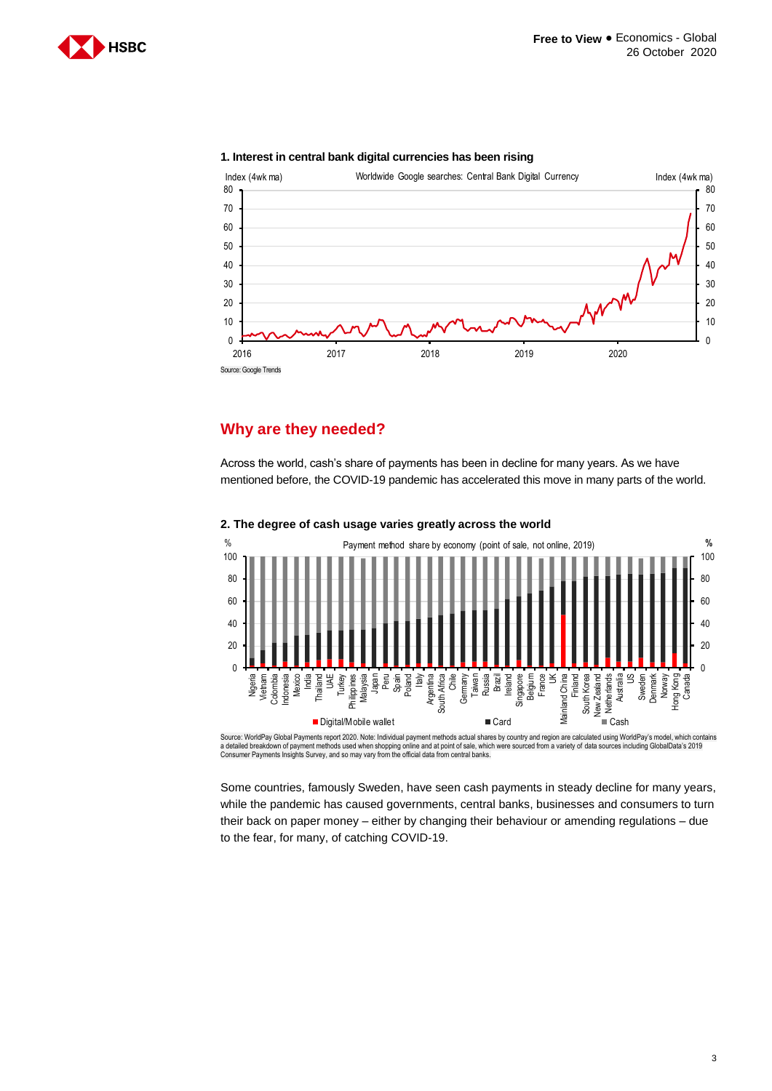



#### **1. Interest in central bank digital currencies has been rising**

## **Why are they needed?**

Across the world, cash's share of payments has been in decline for many years. As we have mentioned before, the COVID-19 pandemic has accelerated this move in many parts of the world.



#### **2. The degree of cash usage varies greatly across the world**

Source: WorldPay Global Payments report 2020. Note: Individual payment methods actual shares by country and region are calculated using WorldPay's model, which contains<br>a detailed breakdown of payment methods used when sho Consumer Payments Insights Survey, and so may vary from the official data from central banks.

Some countries, famously Sweden, have seen cash payments in steady decline for many years, while the pandemic has caused governments, central banks, businesses and consumers to turn their back on paper money – either by changing their behaviour or amending regulations – due to the fear, for many, of catching COVID-19.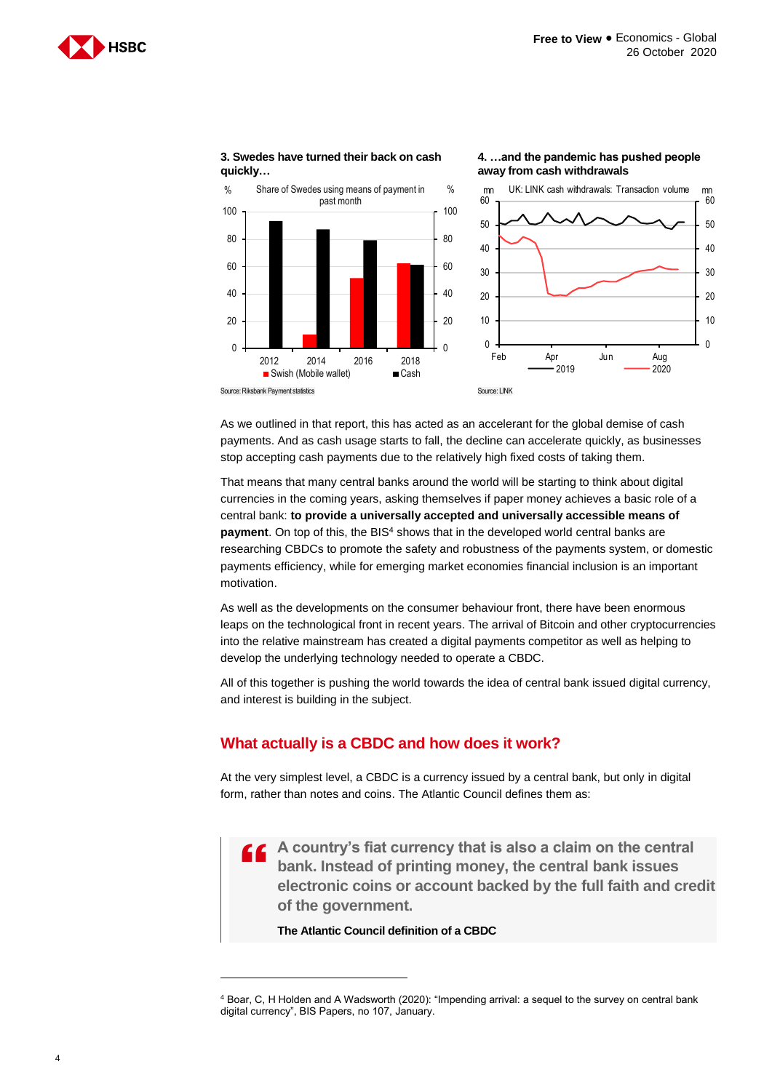**4. …and the pandemic has pushed people** 





**3. Swedes have turned their back on cash quickly…**

As we outlined in that report, this has acted as an accelerant for the global demise of cash payments. And as cash usage starts to fall, the decline can accelerate quickly, as businesses stop accepting cash payments due to the relatively high fixed costs of taking them.

That means that many central banks around the world will be starting to think about digital currencies in the coming years, asking themselves if paper money achieves a basic role of a central bank: **to provide a universally accepted and universally accessible means of**  payment. On top of this, the BIS<sup>4</sup> shows that in the developed world central banks are researching CBDCs to promote the safety and robustness of the payments system, or domestic payments efficiency, while for emerging market economies financial inclusion is an important motivation.

As well as the developments on the consumer behaviour front, there have been enormous leaps on the technological front in recent years. The arrival of Bitcoin and other cryptocurrencies into the relative mainstream has created a digital payments competitor as well as helping to develop the underlying technology needed to operate a CBDC.

All of this together is pushing the world towards the idea of central bank issued digital currency, and interest is building in the subject.

## **What actually is a CBDC and how does it work?**

At the very simplest level, a CBDC is a currency issued by a central bank, but only in digital form, rather than notes and coins. The Atlantic Council defines them as:

 $\tilde{a}$ **A country's fiat currency that is also a claim on the central bank. Instead of printing money, the central bank issues electronic coins or account backed by the full faith and credit of the government.**

**The Atlantic Council definition of a CBDC**

<sup>4</sup> Boar, C, H Holden and A Wadsworth (2020): "Impending arrival: a sequel to the survey on central bank digital currency", BIS Papers, no 107, January.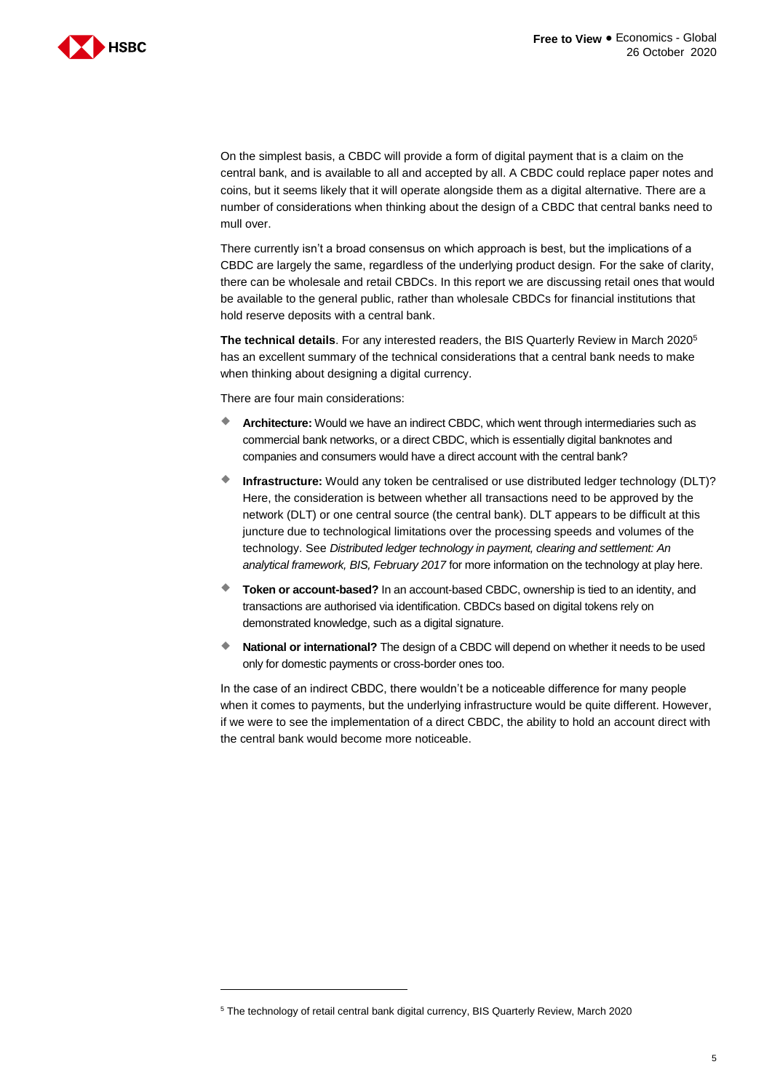

On the simplest basis, a CBDC will provide a form of digital payment that is a claim on the central bank, and is available to all and accepted by all. A CBDC could replace paper notes and coins, but it seems likely that it will operate alongside them as a digital alternative. There are a number of considerations when thinking about the design of a CBDC that central banks need to mull over.

There currently isn't a broad consensus on which approach is best, but the implications of a CBDC are largely the same, regardless of the underlying product design. For the sake of clarity, there can be wholesale and retail CBDCs. In this report we are discussing retail ones that would be available to the general public, rather than wholesale CBDCs for financial institutions that hold reserve deposits with a central bank.

**The technical details**. For any interested readers, the BIS Quarterly Review in March 2020<sup>5</sup> has an excellent summary of the technical considerations that a central bank needs to make when thinking about designing a digital currency.

There are four main considerations:

-

- **Architecture:** Would we have an indirect CBDC, which went through intermediaries such as commercial bank networks, or a direct CBDC, which is essentially digital banknotes and companies and consumers would have a direct account with the central bank?
- **Infrastructure:** Would any token be centralised or use distributed ledger technology (DLT)? Here, the consideration is between whether all transactions need to be approved by the network (DLT) or one central source (the central bank). DLT appears to be difficult at this juncture due to technological limitations over the processing speeds and volumes of the technology. See *Distributed ledger technology in payment, clearing and settlement: An analytical framework, BIS, February 2017* for more information on the technology at play here.
- **Token or account-based?** In an account-based CBDC, ownership is tied to an identity, and transactions are authorised via identification. CBDCs based on digital tokens rely on demonstrated knowledge, such as a digital signature.
- **National or international?** The design of a CBDC will depend on whether it needs to be used only for domestic payments or cross-border ones too.

In the case of an indirect CBDC, there wouldn't be a noticeable difference for many people when it comes to payments, but the underlying infrastructure would be quite different. However, if we were to see the implementation of a direct CBDC, the ability to hold an account direct with the central bank would become more noticeable.

<sup>5</sup> The technology of retail central bank digital currency, BIS Quarterly Review, March 2020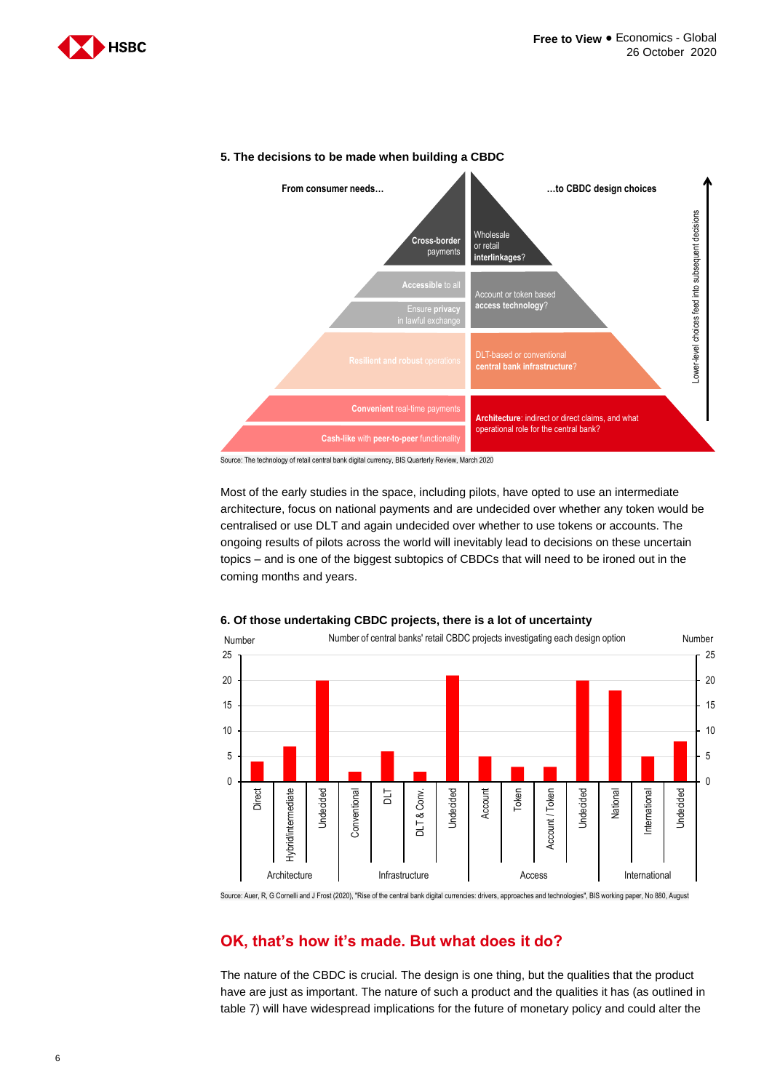



#### **5. The decisions to be made when building a CBDC**

Source: The technology of retail central bank digital currency, BIS Quarterly Review, March 2020

Most of the early studies in the space, including pilots, have opted to use an intermediate architecture, focus on national payments and are undecided over whether any token would be centralised or use DLT and again undecided over whether to use tokens or accounts. The ongoing results of pilots across the world will inevitably lead to decisions on these uncertain topics – and is one of the biggest subtopics of CBDCs that will need to be ironed out in the coming months and years.



#### **6. Of those undertaking CBDC projects, there is a lot of uncertainty**

Source: Auer, R, G Cornelli and J Frost (2020), "Rise of the central bank digital currencies: drivers, approaches and technologies", BIS working paper, No 880, August

## **OK, that's how it's made. But what does it do?**

The nature of the CBDC is crucial. The design is one thing, but the qualities that the product have are just as important. The nature of such a product and the qualities it has (as outlined in table 7) will have widespread implications for the future of monetary policy and could alter the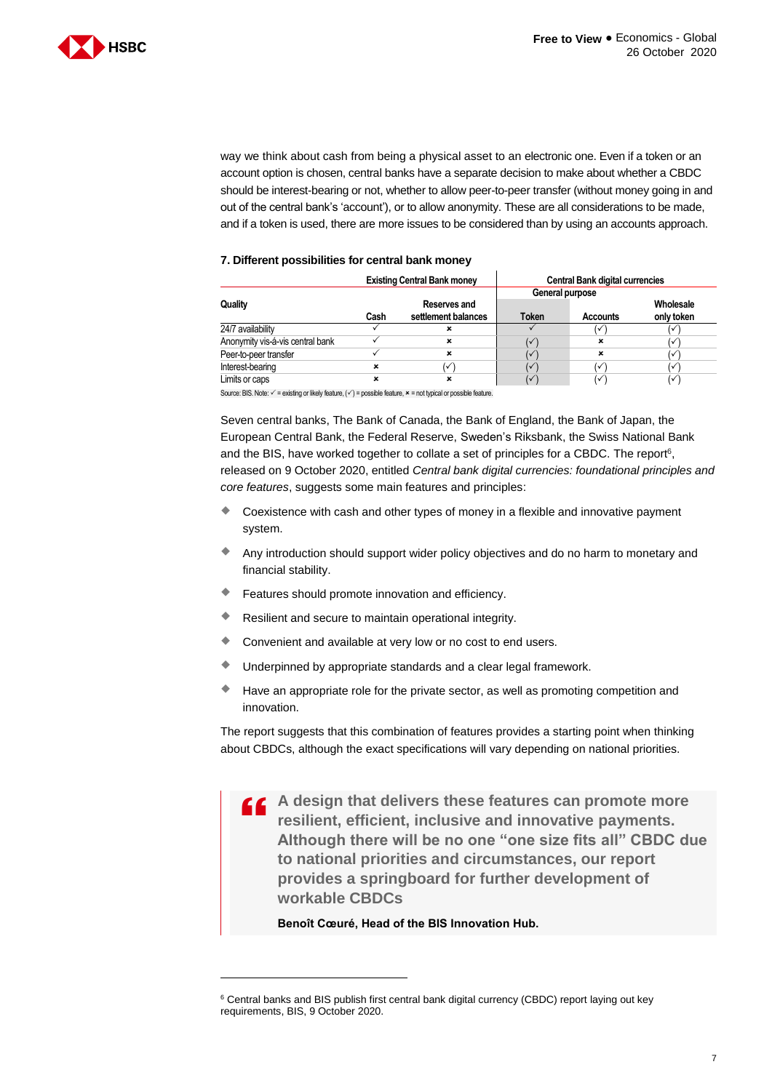

way we think about cash from being a physical asset to an electronic one. Even if a token or an account option is chosen, central banks have a separate decision to make about whether a CBDC should be interest-bearing or not, whether to allow peer-to-peer transfer (without money going in and out of the central bank's 'account'), or to allow anonymity. These are all considerations to be made, and if a token is used, there are more issues to be considered than by using an accounts approach.

#### **7. Different possibilities for central bank money**

|                                  | <b>Existing Central Bank money</b> |                                     | <b>Central Bank digital currencies</b> |                 |                         |
|----------------------------------|------------------------------------|-------------------------------------|----------------------------------------|-----------------|-------------------------|
| Quality                          |                                    |                                     | General purpose                        |                 |                         |
|                                  | Cash                               | Reserves and<br>settlement balances | Token                                  | <b>Accounts</b> | Wholesale<br>only token |
| 24/7 availability                |                                    |                                     |                                        |                 | ✓                       |
| Anonymity vis-á-vis central bank |                                    | ×                                   | (✓                                     | ×               | ✓                       |
| Peer-to-peer transfer            |                                    | ×                                   | V                                      | ×               | ✓                       |
| Interest-bearing                 | ×                                  | $\checkmark$                        | $\checkmark$                           |                 | ✓                       |
| Limits or caps                   | ×                                  | ×                                   | ✓                                      |                 | ✓                       |

Source: BIS. Note:  $\checkmark$  = existing or likely feature,  $(\checkmark)$  = possible feature,  $\star$  = not typical or possible feature.

Seven central banks, The Bank of Canada, the Bank of England, the Bank of Japan, the European Central Bank, the Federal Reserve, Sweden's Riksbank, the Swiss National Bank and the BIS, have worked together to collate a set of principles for a CBDC. The report<sup>6</sup>, released on 9 October 2020, entitled *Central bank digital currencies: foundational principles and core features*, suggests some main features and principles:

- Coexistence with cash and other types of money in a flexible and innovative payment system.
- Any introduction should support wider policy objectives and do no harm to monetary and financial stability.
- Features should promote innovation and efficiency.
- Resilient and secure to maintain operational integrity.
- Convenient and available at very low or no cost to end users.
- Underpinned by appropriate standards and a clear legal framework.
- Have an appropriate role for the private sector, as well as promoting competition and innovation.

The report suggests that this combination of features provides a starting point when thinking about CBDCs, although the exact specifications will vary depending on national priorities.

 $\overline{\mathbf{G}}$ **A design that delivers these features can promote more resilient, efficient, inclusive and innovative payments. Although there will be no one "one size fits all" CBDC due to national priorities and circumstances, our report provides a springboard for further development of workable CBDCs**

**Benoît Cœuré, Head of the BIS Innovation Hub.**

<sup>&</sup>lt;sup>6</sup> Central banks and BIS publish first central bank digital currency (CBDC) report laying out key requirements, BIS, 9 October 2020.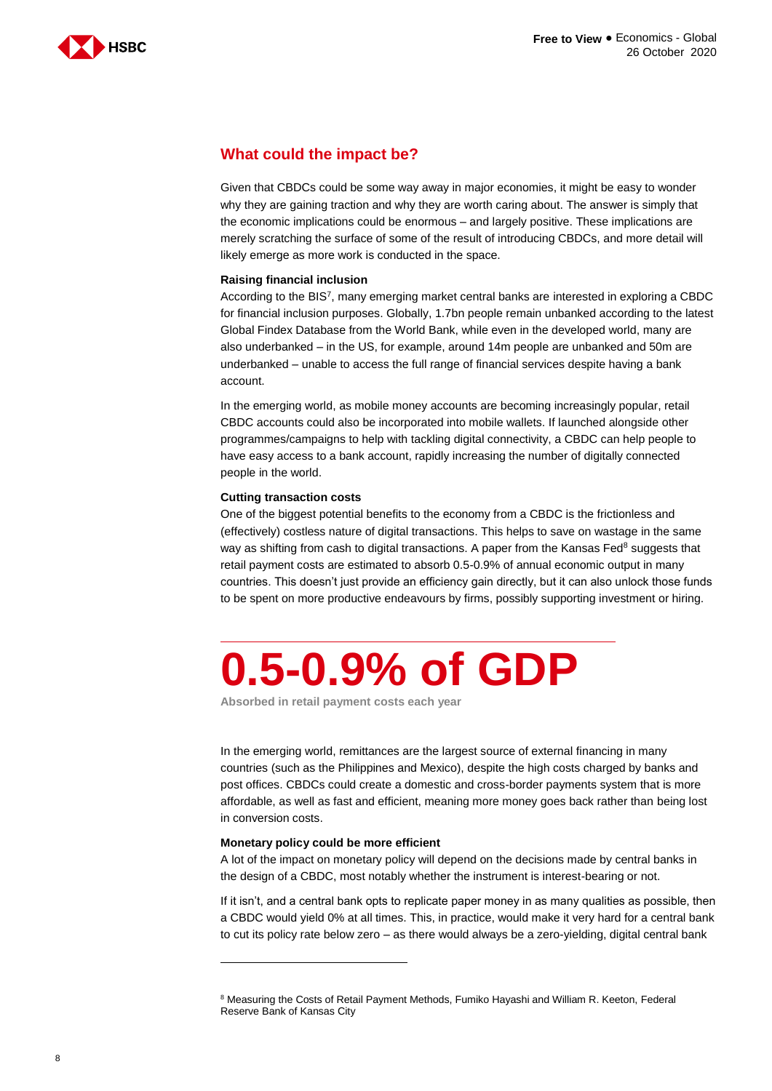

## **What could the impact be?**

Given that CBDCs could be some way away in major economies, it might be easy to wonder why they are gaining traction and why they are worth caring about. The answer is simply that the economic implications could be enormous – and largely positive. These implications are merely scratching the surface of some of the result of introducing CBDCs, and more detail will likely emerge as more work is conducted in the space.

#### **Raising financial inclusion**

According to the BIS<sup>7</sup> , many emerging market central banks are interested in exploring a CBDC for financial inclusion purposes. Globally, 1.7bn people remain unbanked according to the latest Global Findex Database from the World Bank, while even in the developed world, many are also underbanked – in the US, for example, around 14m people are unbanked and 50m are underbanked – unable to access the full range of financial services despite having a bank account.

In the emerging world, as mobile money accounts are becoming increasingly popular, retail CBDC accounts could also be incorporated into mobile wallets. If launched alongside other programmes/campaigns to help with tackling digital connectivity, a CBDC can help people to have easy access to a bank account, rapidly increasing the number of digitally connected people in the world.

#### **Cutting transaction costs**

One of the biggest potential benefits to the economy from a CBDC is the frictionless and (effectively) costless nature of digital transactions. This helps to save on wastage in the same way as shifting from cash to digital transactions. A paper from the Kansas Fed<sup>8</sup> suggests that retail payment costs are estimated to absorb 0.5-0.9% of annual economic output in many countries. This doesn't just provide an efficiency gain directly, but it can also unlock those funds to be spent on more productive endeavours by firms, possibly supporting investment or hiring.

# **0.5-0.9% of GDP**

**Absorbed in retail payment costs each year**

In the emerging world, remittances are the largest source of external financing in many countries (such as the Philippines and Mexico), despite the high costs charged by banks and post offices. CBDCs could create a domestic and cross-border payments system that is more affordable, as well as fast and efficient, meaning more money goes back rather than being lost in conversion costs.

#### **Monetary policy could be more efficient**

-

A lot of the impact on monetary policy will depend on the decisions made by central banks in the design of a CBDC, most notably whether the instrument is interest-bearing or not.

If it isn't, and a central bank opts to replicate paper money in as many qualities as possible, then a CBDC would yield 0% at all times. This, in practice, would make it very hard for a central bank to cut its policy rate below zero – as there would always be a zero-yielding, digital central bank

<sup>8</sup> Measuring the Costs of Retail Payment Methods, Fumiko Hayashi and William R. Keeton, Federal Reserve Bank of Kansas City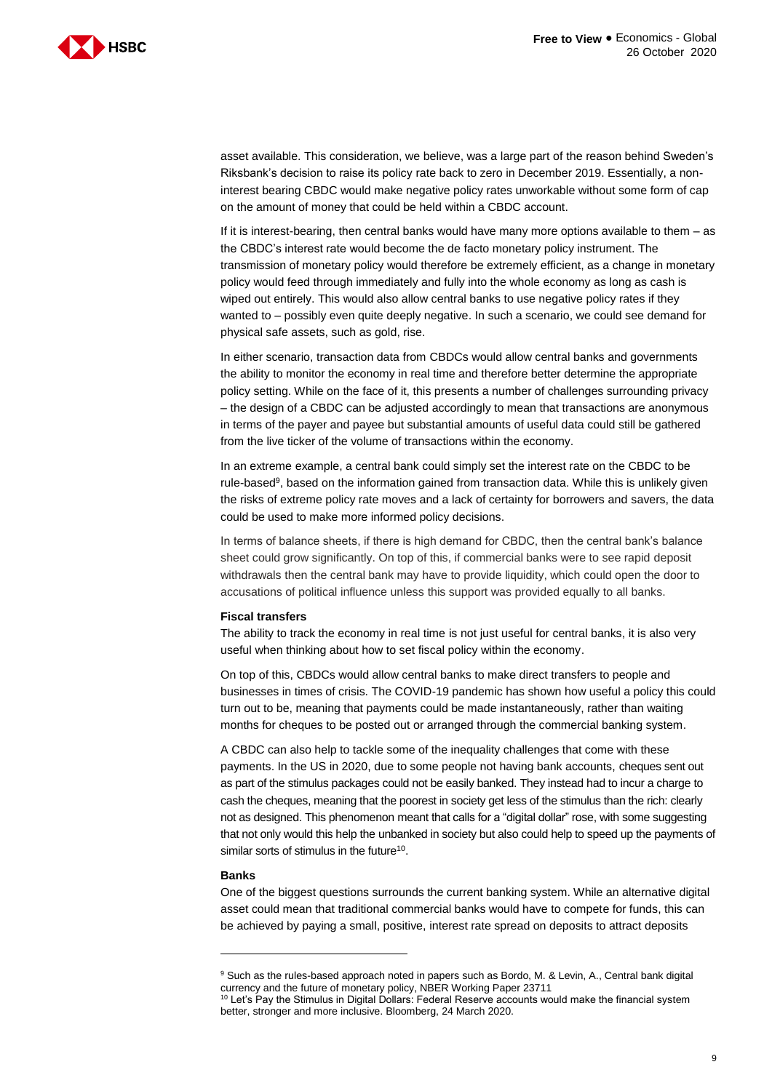

asset available. This consideration, we believe, was a large part of the reason behind Sweden's Riksbank's decision to raise its policy rate back to zero in December 2019. Essentially, a noninterest bearing CBDC would make negative policy rates unworkable without some form of cap on the amount of money that could be held within a CBDC account.

If it is interest-bearing, then central banks would have many more options available to them – as the CBDC's interest rate would become the de facto monetary policy instrument. The transmission of monetary policy would therefore be extremely efficient, as a change in monetary policy would feed through immediately and fully into the whole economy as long as cash is wiped out entirely. This would also allow central banks to use negative policy rates if they wanted to – possibly even quite deeply negative. In such a scenario, we could see demand for physical safe assets, such as gold, rise.

In either scenario, transaction data from CBDCs would allow central banks and governments the ability to monitor the economy in real time and therefore better determine the appropriate policy setting. While on the face of it, this presents a number of challenges surrounding privacy – the design of a CBDC can be adjusted accordingly to mean that transactions are anonymous in terms of the payer and payee but substantial amounts of useful data could still be gathered from the live ticker of the volume of transactions within the economy.

In an extreme example, a central bank could simply set the interest rate on the CBDC to be rule-based<sup>9</sup>, based on the information gained from transaction data. While this is unlikely given the risks of extreme policy rate moves and a lack of certainty for borrowers and savers, the data could be used to make more informed policy decisions.

In terms of balance sheets, if there is high demand for CBDC, then the central bank's balance sheet could grow significantly. On top of this, if commercial banks were to see rapid deposit withdrawals then the central bank may have to provide liquidity, which could open the door to accusations of political influence unless this support was provided equally to all banks.

#### **Fiscal transfers**

The ability to track the economy in real time is not just useful for central banks, it is also very useful when thinking about how to set fiscal policy within the economy.

On top of this, CBDCs would allow central banks to make direct transfers to people and businesses in times of crisis. The COVID-19 pandemic has shown how useful a policy this could turn out to be, meaning that payments could be made instantaneously, rather than waiting months for cheques to be posted out or arranged through the commercial banking system.

A CBDC can also help to tackle some of the inequality challenges that come with these payments. In the US in 2020, due to some people not having bank accounts, cheques sent out as part of the stimulus packages could not be easily banked. They instead had to incur a charge to cash the cheques, meaning that the poorest in society get less of the stimulus than the rich: clearly not as designed. This phenomenon meant that calls for a "digital dollar" rose, with some suggesting that not only would this help the unbanked in society but also could help to speed up the payments of similar sorts of stimulus in the future<sup>10</sup>.

#### **Banks**

-

One of the biggest questions surrounds the current banking system. While an alternative digital asset could mean that traditional commercial banks would have to compete for funds, this can be achieved by paying a small, positive, interest rate spread on deposits to attract deposits

<sup>9</sup> Such as the rules-based approach noted in papers such as Bordo, M. & Levin, A., Central bank digital currency and the future of monetary policy, NBER Working Paper 23711

<sup>10</sup> Let's Pay the Stimulus in Digital Dollars: Federal Reserve accounts would make the financial system better, stronger and more inclusive. Bloomberg, 24 March 2020.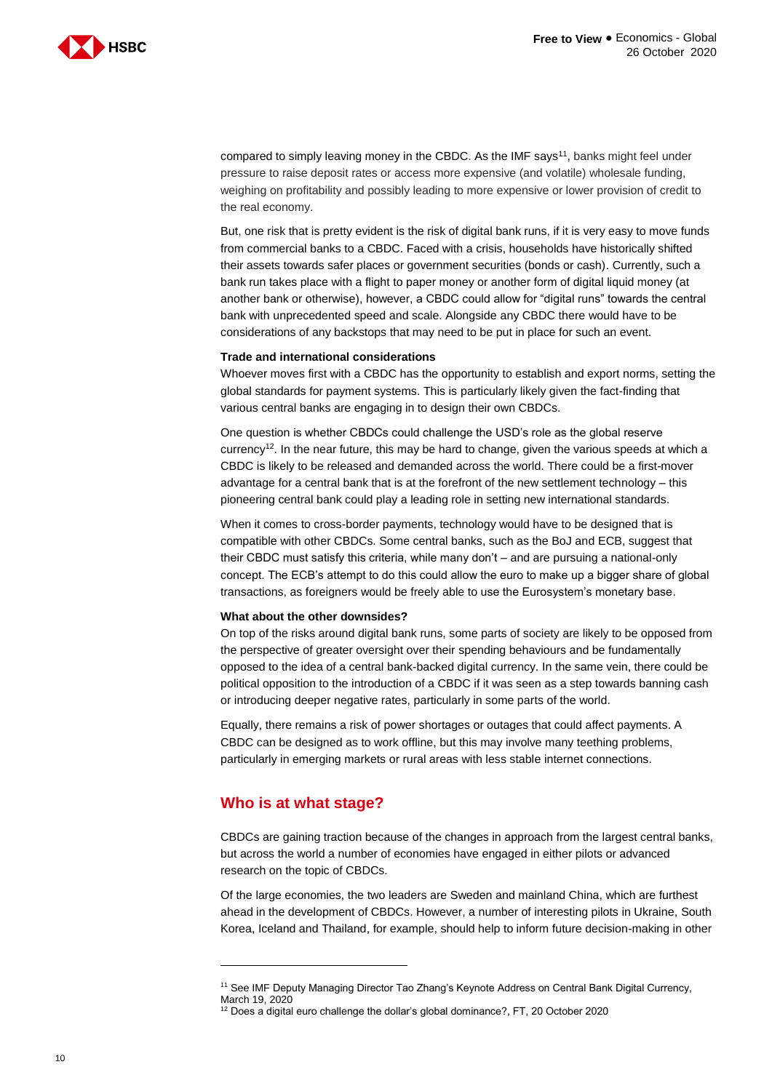

compared to simply leaving money in the CBDC. As the IMF says<sup>11</sup>, banks might feel under pressure to raise deposit rates or access more expensive (and volatile) wholesale funding, weighing on profitability and possibly leading to more expensive or lower provision of credit to the real economy.

But, one risk that is pretty evident is the risk of digital bank runs, if it is very easy to move funds from commercial banks to a CBDC. Faced with a crisis, households have historically shifted their assets towards safer places or government securities (bonds or cash). Currently, such a bank run takes place with a flight to paper money or another form of digital liquid money (at another bank or otherwise), however, a CBDC could allow for "digital runs" towards the central bank with unprecedented speed and scale. Alongside any CBDC there would have to be considerations of any backstops that may need to be put in place for such an event.

#### **Trade and international considerations**

Whoever moves first with a CBDC has the opportunity to establish and export norms, setting the global standards for payment systems. This is particularly likely given the fact-finding that various central banks are engaging in to design their own CBDCs.

One question is whether CBDCs could challenge the USD's role as the global reserve currency<sup>12</sup>. In the near future, this may be hard to change, given the various speeds at which a CBDC is likely to be released and demanded across the world. There could be a first-mover advantage for a central bank that is at the forefront of the new settlement technology – this pioneering central bank could play a leading role in setting new international standards.

When it comes to cross-border payments, technology would have to be designed that is compatible with other CBDCs. Some central banks, such as the BoJ and ECB, suggest that their CBDC must satisfy this criteria, while many don't – and are pursuing a national-only concept. The ECB's attempt to do this could allow the euro to make up a bigger share of global transactions, as foreigners would be freely able to use the Eurosystem's monetary base.

#### **What about the other downsides?**

On top of the risks around digital bank runs, some parts of society are likely to be opposed from the perspective of greater oversight over their spending behaviours and be fundamentally opposed to the idea of a central bank-backed digital currency. In the same vein, there could be political opposition to the introduction of a CBDC if it was seen as a step towards banning cash or introducing deeper negative rates, particularly in some parts of the world.

Equally, there remains a risk of power shortages or outages that could affect payments. A CBDC can be designed as to work offline, but this may involve many teething problems, particularly in emerging markets or rural areas with less stable internet connections.

#### **Who is at what stage?**

CBDCs are gaining traction because of the changes in approach from the largest central banks, but across the world a number of economies have engaged in either pilots or advanced research on the topic of CBDCs.

Of the large economies, the two leaders are Sweden and mainland China, which are furthest ahead in the development of CBDCs. However, a number of interesting pilots in Ukraine, South Korea, Iceland and Thailand, for example, should help to inform future decision-making in other

<sup>&</sup>lt;sup>11</sup> See IMF Deputy Managing Director Tao Zhang's Keynote Address on Central Bank Digital Currency,

March 19, 2020

<sup>12</sup> Does a digital euro challenge the dollar's global dominance?, FT, 20 October 2020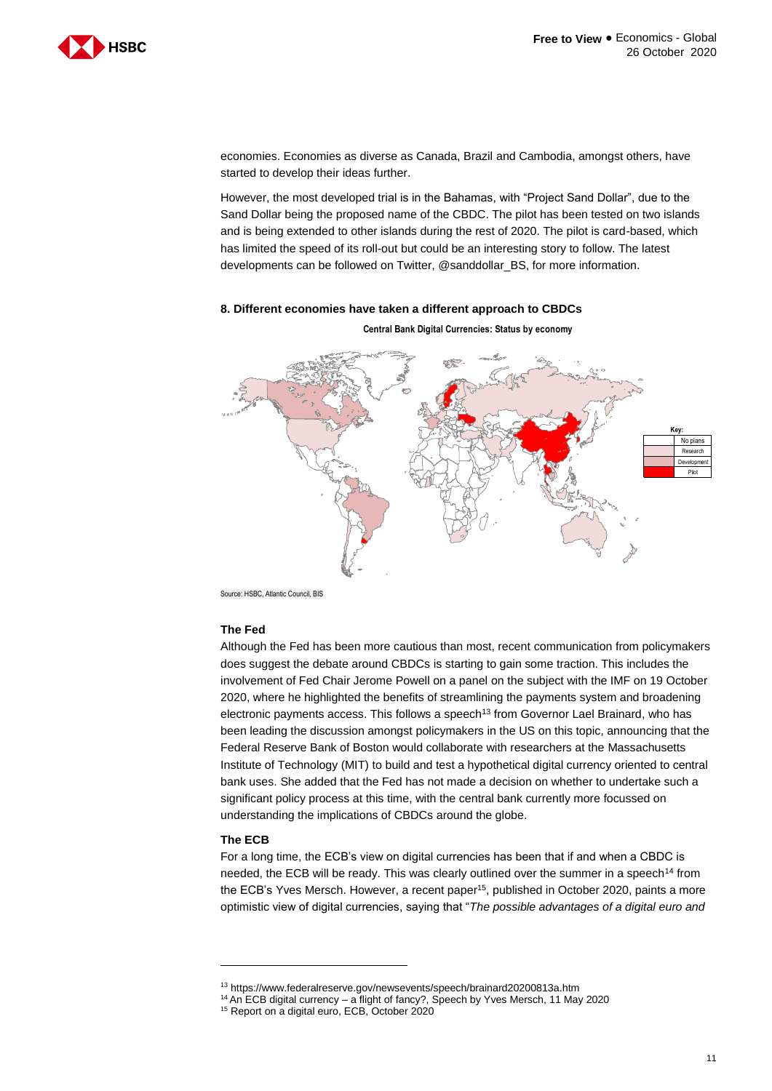

economies. Economies as diverse as Canada, Brazil and Cambodia, amongst others, have started to develop their ideas further.

However, the most developed trial is in the Bahamas, with "Project Sand Dollar", due to the Sand Dollar being the proposed name of the CBDC. The pilot has been tested on two islands and is being extended to other islands during the rest of 2020. The pilot is card-based, which has limited the speed of its roll-out but could be an interesting story to follow. The latest developments can be followed on Twitter, @sanddollar\_BS, for more information.

#### **8. Different economies have taken a different approach to CBDCs**



**Central Bank Digital Currencies: Status by economy**

Source: HSBC, Atlantic Council, BIS

#### **The Fed**

Although the Fed has been more cautious than most, recent communication from policymakers does suggest the debate around CBDCs is starting to gain some traction. This includes the involvement of Fed Chair Jerome Powell on a panel on the subject with the IMF on 19 October 2020, where he highlighted the benefits of streamlining the payments system and broadening electronic payments access. This follows a speech<sup>13</sup> from Governor Lael Brainard, who has been leading the discussion amongst policymakers in the US on this topic, announcing that the Federal Reserve Bank of Boston would collaborate with researchers at the Massachusetts Institute of Technology (MIT) to build and test a hypothetical digital currency oriented to central bank uses. She added that the Fed has not made a decision on whether to undertake such a significant policy process at this time, with the central bank currently more focussed on understanding the implications of CBDCs around the globe.

#### **The ECB**

-

For a long time, the ECB's view on digital currencies has been that if and when a CBDC is needed, the ECB will be ready. This was clearly outlined over the summer in a speech<sup>14</sup> from the ECB's Yves Mersch. However, a recent paper<sup>15</sup>, published in October 2020, paints a more optimistic view of digital currencies, saying that "*The possible advantages of a digital euro and* 

<sup>13</sup> https://www.federalreserve.gov/newsevents/speech/brainard20200813a.htm

<sup>14</sup> An ECB digital currency – a flight of fancy?, Speech by Yves Mersch, 11 May 2020

<sup>15</sup> Report on a digital euro, ECB, October 2020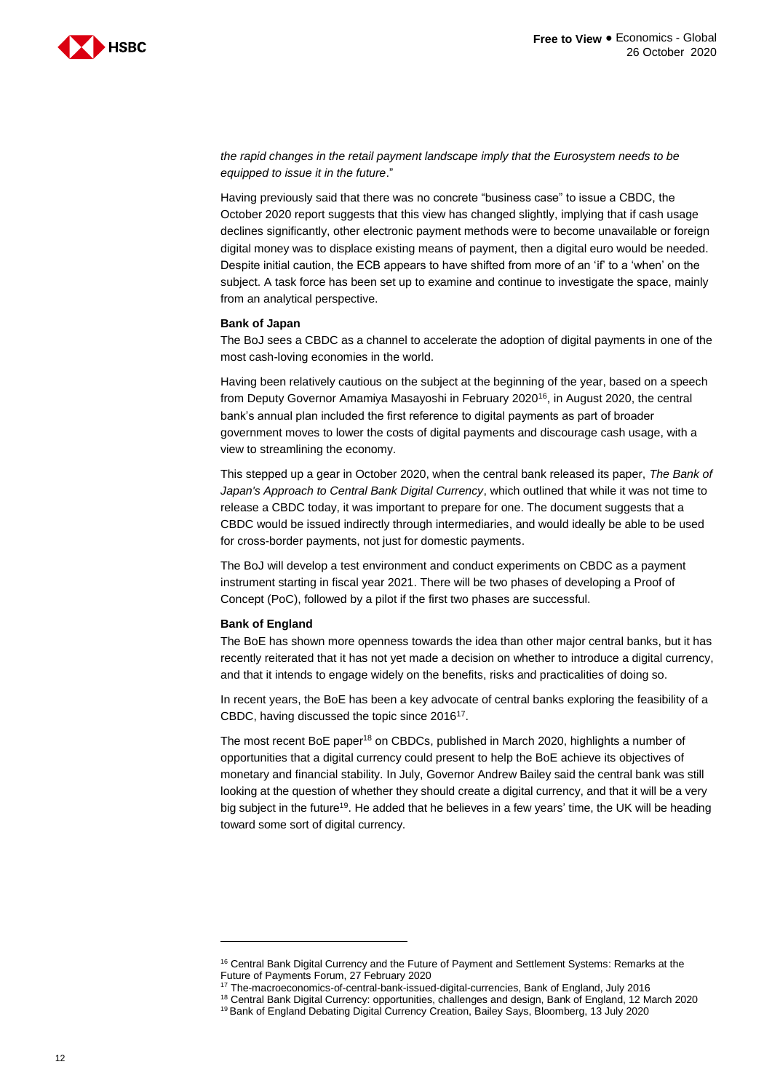

*the rapid changes in the retail payment landscape imply that the Eurosystem needs to be equipped to issue it in the future*."

Having previously said that there was no concrete "business case" to issue a CBDC, the October 2020 report suggests that this view has changed slightly, implying that if cash usage declines significantly, other electronic payment methods were to become unavailable or foreign digital money was to displace existing means of payment, then a digital euro would be needed. Despite initial caution, the ECB appears to have shifted from more of an 'if' to a 'when' on the subject. A task force has been set up to examine and continue to investigate the space, mainly from an analytical perspective.

#### **Bank of Japan**

The BoJ sees a CBDC as a channel to accelerate the adoption of digital payments in one of the most cash-loving economies in the world.

Having been relatively cautious on the subject at the beginning of the year, based on a speech from Deputy Governor Amamiya Masayoshi in February 2020<sup>16</sup>, in August 2020, the central bank's annual plan included the first reference to digital payments as part of broader government moves to lower the costs of digital payments and discourage cash usage, with a view to streamlining the economy.

This stepped up a gear in October 2020, when the central bank released its paper, *The Bank of Japan's Approach to Central Bank Digital Currency*, which outlined that while it was not time to release a CBDC today, it was important to prepare for one. The document suggests that a CBDC would be issued indirectly through intermediaries, and would ideally be able to be used for cross-border payments, not just for domestic payments.

The BoJ will develop a test environment and conduct experiments on CBDC as a payment instrument starting in fiscal year 2021. There will be two phases of developing a Proof of Concept (PoC), followed by a pilot if the first two phases are successful.

#### **Bank of England**

-

The BoE has shown more openness towards the idea than other major central banks, but it has recently reiterated that it has not yet made a decision on whether to introduce a digital currency, and that it intends to engage widely on the benefits, risks and practicalities of doing so.

In recent years, the BoE has been a key advocate of central banks exploring the feasibility of a CBDC, having discussed the topic since 2016<sup>17</sup>.

The most recent BoE paper<sup>18</sup> on CBDCs, published in March 2020, highlights a number of opportunities that a digital currency could present to help the BoE achieve its objectives of monetary and financial stability. In July, Governor Andrew Bailey said the central bank was still looking at the question of whether they should create a digital currency, and that it will be a very big subject in the future<sup>19</sup>. He added that he believes in a few years' time, the UK will be heading toward some sort of digital currency.

<sup>&</sup>lt;sup>16</sup> Central Bank Digital Currency and the Future of Payment and Settlement Systems: Remarks at the Future of Payments Forum, 27 February 2020

<sup>17</sup> The-macroeconomics-of-central-bank-issued-digital-currencies, Bank of England, July 2016

<sup>18</sup> Central Bank Digital Currency: opportunities, challenges and design, Bank of England, 12 March 2020

<sup>&</sup>lt;sup>19</sup> Bank of England Debating Digital Currency Creation, Bailey Says, Bloomberg, 13 July 2020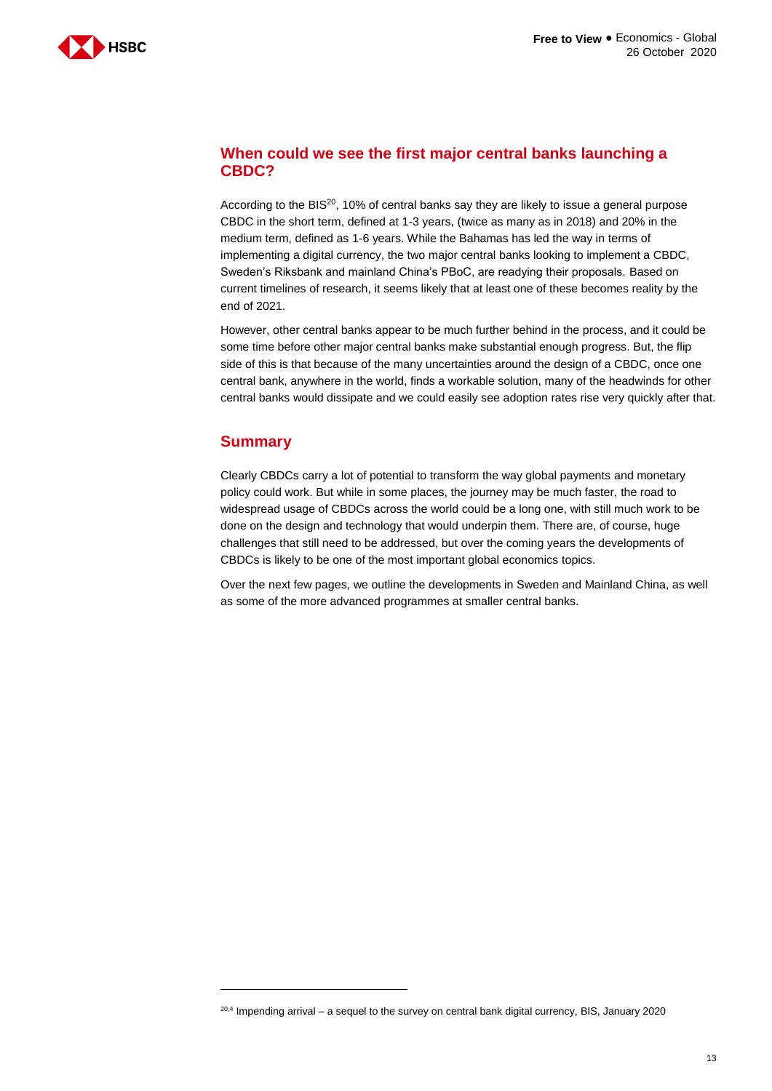

### **When could we see the first major central banks launching a CBDC?**

According to the BIS<sup>20</sup>, 10% of central banks say they are likely to issue a general purpose CBDC in the short term, defined at 1-3 years, (twice as many as in 2018) and 20% in the medium term, defined as 1-6 years. While the Bahamas has led the way in terms of implementing a digital currency, the two major central banks looking to implement a CBDC, Sweden's Riksbank and mainland China's PBoC, are readying their proposals. Based on current timelines of research, it seems likely that at least one of these becomes reality by the end of 2021.

However, other central banks appear to be much further behind in the process, and it could be some time before other major central banks make substantial enough progress. But, the flip side of this is that because of the many uncertainties around the design of a CBDC, once one central bank, anywhere in the world, finds a workable solution, many of the headwinds for other central banks would dissipate and we could easily see adoption rates rise very quickly after that.

## **Summary**

-

Clearly CBDCs carry a lot of potential to transform the way global payments and monetary policy could work. But while in some places, the journey may be much faster, the road to widespread usage of CBDCs across the world could be a long one, with still much work to be done on the design and technology that would underpin them. There are, of course, huge challenges that still need to be addressed, but over the coming years the developments of CBDCs is likely to be one of the most important global economics topics.

Over the next few pages, we outline the developments in Sweden and Mainland China, as well as some of the more advanced programmes at smaller central banks.

<sup>&</sup>lt;sup>20,4</sup> Impending arrival – a sequel to the survey on central bank digital currency, BIS, January 2020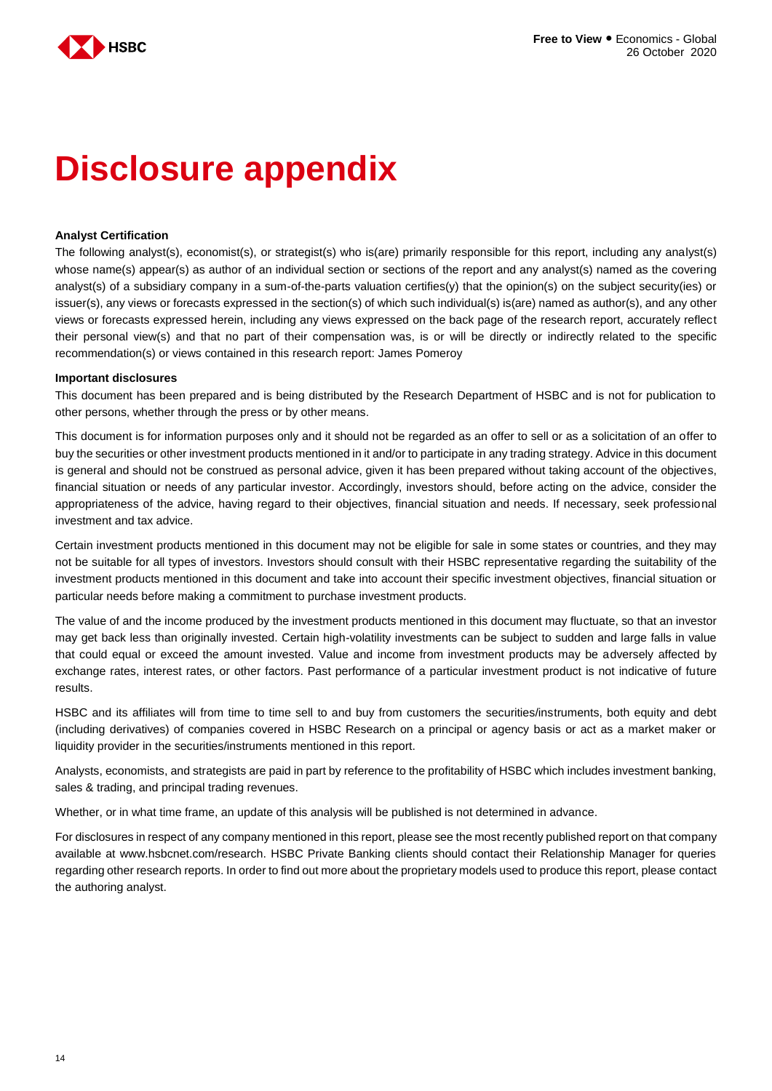

## **Disclosure appendix**

#### **Analyst Certification**

The following analyst(s), economist(s), or strategist(s) who is(are) primarily responsible for this report, including any analyst(s) whose name(s) appear(s) as author of an individual section or sections of the report and any analyst(s) named as the covering analyst(s) of a subsidiary company in a sum-of-the-parts valuation certifies(y) that the opinion(s) on the subject security(ies) or issuer(s), any views or forecasts expressed in the section(s) of which such individual(s) is(are) named as author(s), and any other views or forecasts expressed herein, including any views expressed on the back page of the research report, accurately reflect their personal view(s) and that no part of their compensation was, is or will be directly or indirectly related to the specific recommendation(s) or views contained in this research report: James Pomeroy

#### **Important disclosures**

This document has been prepared and is being distributed by the Research Department of HSBC and is not for publication to other persons, whether through the press or by other means.

This document is for information purposes only and it should not be regarded as an offer to sell or as a solicitation of an offer to buy the securities or other investment products mentioned in it and/or to participate in any trading strategy. Advice in this document is general and should not be construed as personal advice, given it has been prepared without taking account of the objectives, financial situation or needs of any particular investor. Accordingly, investors should, before acting on the advice, consider the appropriateness of the advice, having regard to their objectives, financial situation and needs. If necessary, seek professional investment and tax advice.

Certain investment products mentioned in this document may not be eligible for sale in some states or countries, and they may not be suitable for all types of investors. Investors should consult with their HSBC representative regarding the suitability of the investment products mentioned in this document and take into account their specific investment objectives, financial situation or particular needs before making a commitment to purchase investment products.

The value of and the income produced by the investment products mentioned in this document may fluctuate, so that an investor may get back less than originally invested. Certain high-volatility investments can be subject to sudden and large falls in value that could equal or exceed the amount invested. Value and income from investment products may be adversely affected by exchange rates, interest rates, or other factors. Past performance of a particular investment product is not indicative of future results.

HSBC and its affiliates will from time to time sell to and buy from customers the securities/instruments, both equity and debt (including derivatives) of companies covered in HSBC Research on a principal or agency basis or act as a market maker or liquidity provider in the securities/instruments mentioned in this report.

Analysts, economists, and strategists are paid in part by reference to the profitability of HSBC which includes investment banking, sales & trading, and principal trading revenues.

Whether, or in what time frame, an update of this analysis will be published is not determined in advance.

For disclosures in respect of any company mentioned in this report, please see the most recently published report on that company available at www.hsbcnet.com/research. HSBC Private Banking clients should contact their Relationship Manager for queries regarding other research reports. In order to find out more about the proprietary models used to produce this report, please contact the authoring analyst.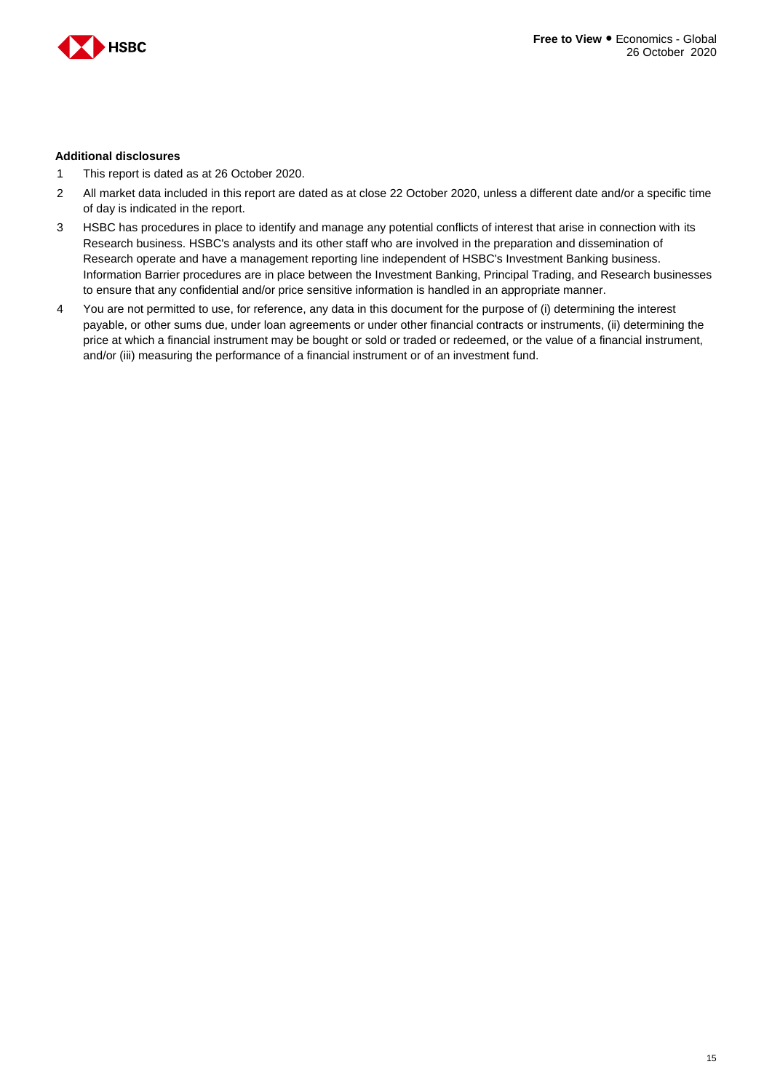

#### **Additional disclosures**

- 1 This report is dated as at 26 October 2020.
- 2 All market data included in this report are dated as at close 22 October 2020, unless a different date and/or a specific time of day is indicated in the report.
- 3 HSBC has procedures in place to identify and manage any potential conflicts of interest that arise in connection with its Research business. HSBC's analysts and its other staff who are involved in the preparation and dissemination of Research operate and have a management reporting line independent of HSBC's Investment Banking business. Information Barrier procedures are in place between the Investment Banking, Principal Trading, and Research businesses to ensure that any confidential and/or price sensitive information is handled in an appropriate manner.
- 4 You are not permitted to use, for reference, any data in this document for the purpose of (i) determining the interest payable, or other sums due, under loan agreements or under other financial contracts or instruments, (ii) determining the price at which a financial instrument may be bought or sold or traded or redeemed, or the value of a financial instrument, and/or (iii) measuring the performance of a financial instrument or of an investment fund.